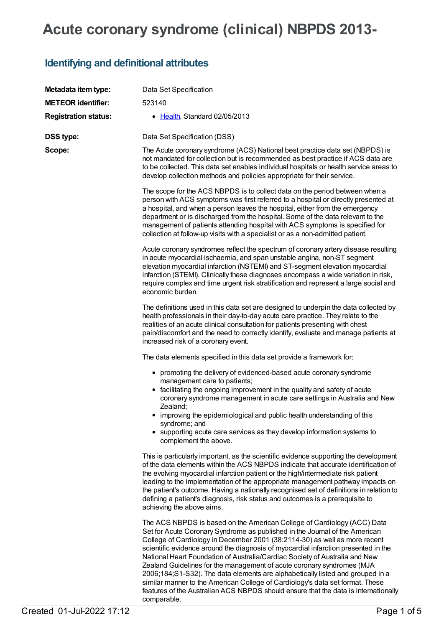## **Acute coronary syndrome (clinical) NBPDS 2013-**

## **Identifying and definitional attributes**

| Metadata item type:         | Data Set Specification                                                                                                                                                                                                                                                                                                                                                                                                                                                                                                                                                                                                                                                                                                                                       |
|-----------------------------|--------------------------------------------------------------------------------------------------------------------------------------------------------------------------------------------------------------------------------------------------------------------------------------------------------------------------------------------------------------------------------------------------------------------------------------------------------------------------------------------------------------------------------------------------------------------------------------------------------------------------------------------------------------------------------------------------------------------------------------------------------------|
| <b>METEOR identifier:</b>   | 523140                                                                                                                                                                                                                                                                                                                                                                                                                                                                                                                                                                                                                                                                                                                                                       |
| <b>Registration status:</b> | • Health, Standard 02/05/2013                                                                                                                                                                                                                                                                                                                                                                                                                                                                                                                                                                                                                                                                                                                                |
| <b>DSS type:</b>            | Data Set Specification (DSS)                                                                                                                                                                                                                                                                                                                                                                                                                                                                                                                                                                                                                                                                                                                                 |
| Scope:                      | The Acute coronary syndrome (ACS) National best practice data set (NBPDS) is<br>not mandated for collection but is recommended as best practice if ACS data are<br>to be collected. This data set enables individual hospitals or health service areas to<br>develop collection methods and policies appropriate for their service.                                                                                                                                                                                                                                                                                                                                                                                                                          |
|                             | The scope for the ACS NBPDS is to collect data on the period between when a<br>person with ACS symptoms was first referred to a hospital or directly presented at<br>a hospital, and when a person leaves the hospital, either from the emergency<br>department or is discharged from the hospital. Some of the data relevant to the<br>management of patients attending hospital with ACS symptoms is specified for<br>collection at follow-up visits with a specialist or as a non-admitted patient.                                                                                                                                                                                                                                                       |
|                             | Acute coronary syndromes reflect the spectrum of coronary artery disease resulting<br>in acute myocardial ischaemia, and span unstable angina, non-ST segment<br>elevation myocardial infarction (NSTEMI) and ST-segment elevation myocardial<br>infarction (STEMI). Clinically these diagnoses encompass a wide variation in risk,<br>require complex and time urgent risk stratification and represent a large social and<br>economic burden.                                                                                                                                                                                                                                                                                                              |
|                             | The definitions used in this data set are designed to underpin the data collected by<br>health professionals in their day-to-day acute care practice. They relate to the<br>realities of an acute clinical consultation for patients presenting with chest<br>pain/discomfort and the need to correctly identify, evaluate and manage patients at<br>increased risk of a coronary event.                                                                                                                                                                                                                                                                                                                                                                     |
|                             | The data elements specified in this data set provide a framework for:                                                                                                                                                                                                                                                                                                                                                                                                                                                                                                                                                                                                                                                                                        |
|                             | • promoting the delivery of evidenced-based acute coronary syndrome<br>management care to patients;<br>• facilitating the ongoing improvement in the quality and safety of acute<br>coronary syndrome management in acute care settings in Australia and New<br>Zealand;<br>• improving the epidemiological and public health understanding of this<br>syndrome; and<br>• supporting acute care services as they develop information systems to<br>complement the above.                                                                                                                                                                                                                                                                                     |
|                             | This is particularly important, as the scientific evidence supporting the development<br>of the data elements within the ACS NBPDS indicate that accurate identification of<br>the evolving myocardial infarction patient or the high/intermediate risk patient<br>leading to the implementation of the appropriate management pathway impacts on<br>the patient's outcome. Having a nationally recognised set of definitions in relation to<br>defining a patient's diagnosis, risk status and outcomes is a prerequisite to<br>achieving the above aims.                                                                                                                                                                                                   |
|                             | The ACS NBPDS is based on the American College of Cardiology (ACC) Data<br>Set for Acute Coronary Syndrome as published in the Journal of the American<br>College of Cardiology in December 2001 (38:2114-30) as well as more recent<br>scientific evidence around the diagnosis of myocardial infarction presented in the<br>National Heart Foundation of Australia/Cardiac Society of Australia and New<br>Zealand Guidelines for the management of acute coronary syndromes (MJA<br>2006;184;S1-S32). The data elements are alphabetically listed and grouped in a<br>similar manner to the American College of Cardiology's data set format. These<br>features of the Australian ACS NBPDS should ensure that the data is internationally<br>comparable. |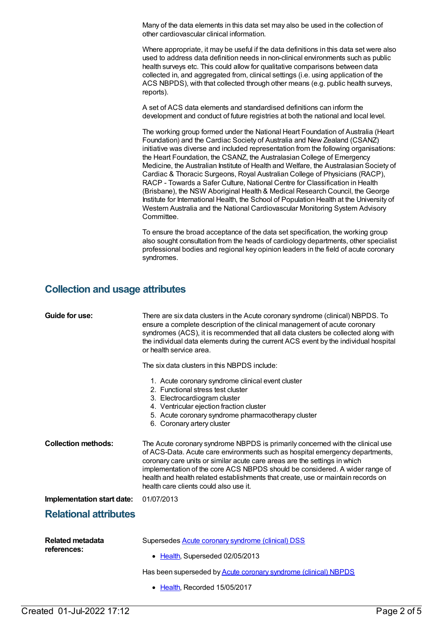Many of the data elements in this data set may also be used in the collection of other cardiovascular clinical information.

Where appropriate, it may be useful if the data definitions in this data set were also used to address data definition needs in non-clinical environments such as public health surveys etc. This could allow for qualitative comparisons between data collected in, and aggregated from, clinical settings (i.e. using application of the ACS NBPDS), with that collected through other means (e.g. public health surveys, reports).

A set of ACS data elements and standardised definitions can inform the development and conduct of future registries at both the national and local level.

The working group formed under the National Heart Foundation of Australia (Heart Foundation) and the Cardiac Society of Australia and New Zealand (CSANZ) initiative was diverse and included representation from the following organisations: the Heart Foundation, the CSANZ, the Australasian College of Emergency Medicine, the Australian Institute of Health and Welfare, the Australasian Society of Cardiac & Thoracic Surgeons, Royal Australian College of Physicians (RACP), RACP - Towards a Safer Culture, National Centre for Classification in Health (Brisbane), the NSW Aboriginal Health & Medical Research Council, the George Institute for International Health, the School of Population Health at the University of Western Australia and the National Cardiovascular Monitoring System Advisory Committee.

To ensure the broad acceptance of the data set specification, the working group also sought consultation from the heads of cardiology departments, other specialist professional bodies and regional key opinion leaders in the field of acute coronary syndromes.

## **Collection and usage attributes**

| Guide for use:                         | There are six data clusters in the Acute coronary syndrome (clinical) NBPDS. To<br>ensure a complete description of the clinical management of acute coronary<br>syndromes (ACS), it is recommended that all data clusters be collected along with<br>the individual data elements during the current ACS event by the individual hospital<br>or health service area.                                                                                    |
|----------------------------------------|----------------------------------------------------------------------------------------------------------------------------------------------------------------------------------------------------------------------------------------------------------------------------------------------------------------------------------------------------------------------------------------------------------------------------------------------------------|
|                                        | The six data clusters in this NBPDS include:                                                                                                                                                                                                                                                                                                                                                                                                             |
|                                        | 1. Acute coronary syndrome clinical event cluster<br>2. Functional stress test cluster<br>3. Electrocardiogram cluster<br>4. Ventricular ejection fraction cluster<br>5. Acute coronary syndrome pharmacotherapy cluster<br>6. Coronary artery cluster                                                                                                                                                                                                   |
| <b>Collection methods:</b>             | The Acute coronary syndrome NBPDS is primarily concerned with the clinical use<br>of ACS-Data. Acute care environments such as hospital emergency departments,<br>coronary care units or similar acute care areas are the settings in which<br>implementation of the core ACS NBPDS should be considered. A wider range of<br>health and health related establishments that create, use or maintain records on<br>health care clients could also use it. |
| Implementation start date:             | 01/07/2013                                                                                                                                                                                                                                                                                                                                                                                                                                               |
| <b>Relational attributes</b>           |                                                                                                                                                                                                                                                                                                                                                                                                                                                          |
| <b>Related metadata</b><br>references: | Supersedes <b>Acute coronary syndrome (clinical) DSS</b>                                                                                                                                                                                                                                                                                                                                                                                                 |
|                                        | • Health, Superseded 02/05/2013                                                                                                                                                                                                                                                                                                                                                                                                                          |
|                                        | Has been superseded by <b>Acute coronary syndrome (clinical) NBPDS</b>                                                                                                                                                                                                                                                                                                                                                                                   |
|                                        | • Health, Recorded 15/05/2017                                                                                                                                                                                                                                                                                                                                                                                                                            |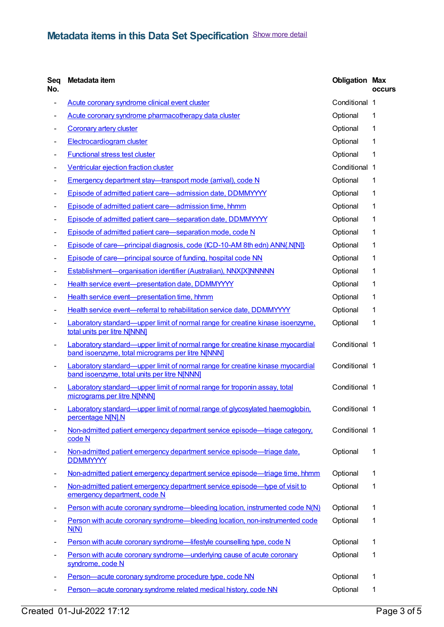| Seq<br>No. | Metadata item                                                                                                                              | <b>Obligation Max</b> | <b>occurs</b> |
|------------|--------------------------------------------------------------------------------------------------------------------------------------------|-----------------------|---------------|
| -          | Acute coronary syndrome clinical event cluster                                                                                             | Conditional 1         |               |
|            | Acute coronary syndrome pharmacotherapy data cluster                                                                                       | Optional              | 1             |
|            | <b>Coronary artery cluster</b>                                                                                                             | Optional              | 1             |
|            | <b>Electrocardiogram cluster</b>                                                                                                           | Optional              | 1             |
|            | <b>Functional stress test cluster</b>                                                                                                      | Optional              | 1             |
|            | Ventricular ejection fraction cluster                                                                                                      | Conditional 1         |               |
|            | Emergency department stay-transport mode (arrival), code N                                                                                 | Optional              | $\mathbf 1$   |
|            | Episode of admitted patient care-admission date, DDMMYYYY                                                                                  | Optional              | 1             |
|            | Episode of admitted patient care-admission time, hhmm                                                                                      | Optional              | 1             |
| -          | Episode of admitted patient care-separation date, DDMMYYYY                                                                                 | Optional              | 1             |
| -          | Episode of admitted patient care-separation mode, code N                                                                                   | Optional              | 1             |
| -          | Episode of care-principal diagnosis, code (ICD-10-AM 8th edn) ANN{.N[N]}                                                                   | Optional              | 1             |
|            | Episode of care—principal source of funding, hospital code NN                                                                              | Optional              | 1             |
|            | Establishment-organisation identifier (Australian), NNX[X]NNNNN                                                                            | Optional              | 1             |
|            | Health service event-presentation date, DDMMYYYY                                                                                           | Optional              | 1             |
|            | Health service event-presentation time, hhmm                                                                                               | Optional              | 1             |
|            | Health service event-referral to rehabilitation service date, DDMMYYYY                                                                     | Optional              | 1             |
|            | Laboratory standard—upper limit of normal range for creatine kinase isoenzyme,<br>total units per litre N[NNN]                             | Optional              | 1             |
| -          | <b>Laboratory standard—upper limit of normal range for creatine kinase myocardial</b><br>band isoenzyme, total micrograms per litre N[NNN] | Conditional 1         |               |
| -          | Laboratory standard—upper limit of normal range for creatine kinase myocardial<br>band isoenzyme, total units per litre N[NNN]             | Conditional 1         |               |
|            | Laboratory standard—upper limit of normal range for troponin assay, total<br>micrograms per litre N[NNN]                                   | Conditional 1         |               |
|            | Laboratory standard—upper limit of normal range of glycosylated haemoglobin,<br>percentage N[N].N                                          | Conditional 1         |               |
|            | Non-admitted patient emergency department service episode—triage category,<br>code N                                                       | Conditional 1         |               |
|            | Non-admitted patient emergency department service episode—triage date,<br><b>DDMMYYYY</b>                                                  | Optional              | 1             |
|            | Non-admitted patient emergency department service episode—triage time, hhmm                                                                | Optional              | 1             |
|            | Non-admitted patient emergency department service episode—type of visit to<br>emergency department, code N                                 | Optional              | 1             |
|            | Person with acute coronary syndrome—bleeding location, instrumented code N(N)                                                              | Optional              | $\mathbf 1$   |
|            | Person with acute coronary syndrome—bleeding location, non-instrumented code<br>N(N)                                                       | Optional              | 1             |
|            | Person with acute coronary syndrome-lifestyle counselling type, code N                                                                     | Optional              | $\mathbf 1$   |
|            | Person with acute coronary syndrome-underlying cause of acute coronary<br>syndrome, code N                                                 | Optional              | 1             |
|            | Person-acute coronary syndrome procedure type, code NN                                                                                     | Optional              | 1             |
| -          | Person-acute coronary syndrome related medical history, code NN                                                                            | Optional              | 1             |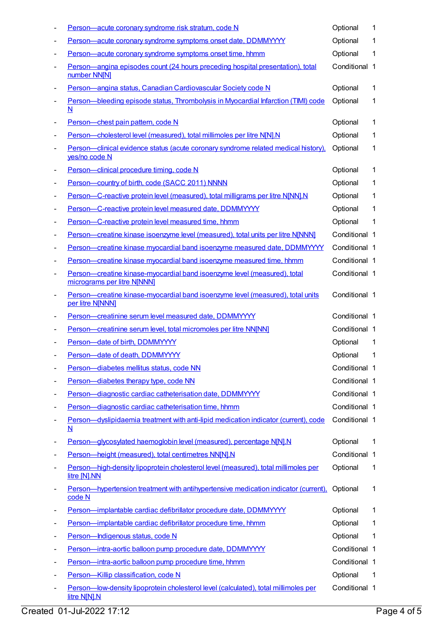|   | Person-acute coronary syndrome risk stratum, code N                                                             | Optional      | 1  |
|---|-----------------------------------------------------------------------------------------------------------------|---------------|----|
|   | Person-acute coronary syndrome symptoms onset date, DDMMYYYY                                                    | Optional      | 1  |
|   | Person-acute coronary syndrome symptoms onset time, hhmm                                                        | Optional      | 1  |
|   | Person-angina episodes count (24 hours preceding hospital presentation), total<br>number NN[N]                  | Conditional 1 |    |
|   | Person-angina status, Canadian Cardiovascular Society code N                                                    | Optional      | 1  |
|   | Person-bleeding episode status, Thrombolysis in Myocardial Infarction (TIMI) code<br>N                          | Optional      | 1  |
|   | Person-chest pain pattern, code N                                                                               | Optional      | 1  |
|   | Person-cholesterol level (measured), total millimoles per litre N[N].N                                          | Optional      | 1  |
|   | Person-clinical evidence status (acute coronary syndrome related medical history),<br>yes/no code N             | Optional      | 1  |
|   | Person-clinical procedure timing, code N                                                                        | Optional      | 1  |
|   | Person-country of birth, code (SACC 2011) NNNN                                                                  | Optional      | 1  |
|   | Person-C-reactive protein level (measured), total milligrams per litre N[NN].N                                  | Optional      | 1  |
|   | Person-C-reactive protein level measured date, DDMMYYYY                                                         | Optional      | 1  |
|   | Person-C-reactive protein level measured time, hhmm                                                             | Optional      | 1  |
| ٠ | Person-creatine kinase isoenzyme level (measured), total units per litre N[NNN]                                 | Conditional 1 |    |
|   | Person-creatine kinase myocardial band isoenzyme measured date, DDMMYYYY                                        | Conditional 1 |    |
|   | Person-creatine kinase myocardial band isoenzyme measured time, hhmm                                            | Conditional 1 |    |
|   | Person-creatine kinase-myocardial band isoenzyme level (measured), total<br>micrograms per litre N[NNN]         | Conditional 1 |    |
|   | Person-creatine kinase-myocardial band isoenzyme level (measured), total units<br>per litre N[NNN]              | Conditional 1 |    |
|   | Person-creatinine serum level measured date, DDMMYYYY                                                           | Conditional 1 |    |
|   | Person-creatinine serum level, total micromoles per litre NN[NN]                                                | Conditional 1 |    |
|   | Person-date of birth, DDMMYYYY                                                                                  | Optional      | 1  |
|   | Person-date of death, DDMMYYYY                                                                                  | Optional      | 1  |
|   | Person-diabetes mellitus status, code NN                                                                        | Conditional 1 |    |
|   | Person-diabetes therapy type, code NN                                                                           | Conditional 1 |    |
| ٠ | Person-diagnostic cardiac catheterisation date, DDMMYYYY                                                        | Conditional 1 |    |
|   | Person-diagnostic cardiac catheterisation time, hhmm                                                            | Conditional 1 |    |
|   | Person-dyslipidaemia treatment with anti-lipid medication indicator (current), code<br>$\underline{\mathsf{N}}$ | Conditional 1 |    |
|   | Person-glycosylated haemoglobin level (measured), percentage N[N].N                                             | Optional      | 1  |
|   | Person-height (measured), total centimetres NN[N].N                                                             | Conditional 1 |    |
|   | Person-high-density lipoprotein cholesterol level (measured), total millimoles per<br>litre [N].NN              | Optional      | 1  |
|   | Person—hypertension treatment with antihypertensive medication indicator (current),<br>code N                   | Optional      | 1  |
|   | Person-implantable cardiac defibrillator procedure date, DDMMYYYY                                               | Optional      | 1  |
|   | Person-implantable cardiac defibrillator procedure time, hhmm                                                   | Optional      | 1  |
|   | Person-Indigenous status, code N                                                                                | Optional      | 1  |
|   | Person-intra-aortic balloon pump procedure date, DDMMYYYY                                                       | Conditional 1 |    |
|   | Person-intra-aortic balloon pump procedure time, hhmm                                                           | Conditional 1 |    |
|   | Person-Killip classification, code N                                                                            | Optional      | -1 |
|   | Person-low-density lipoprotein cholesterol level (calculated), total millimoles per<br>litre N[N].N             | Conditional 1 |    |